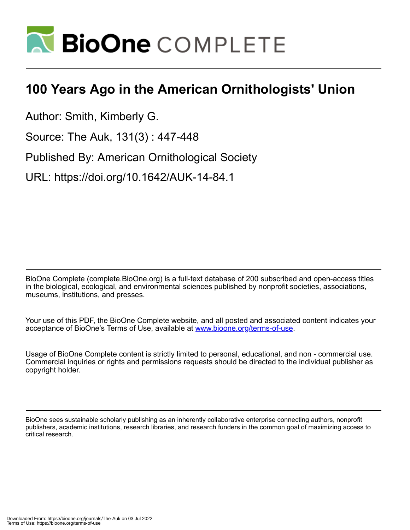

## **100 Years Ago in the American Ornithologists' Union**

Author: Smith, Kimberly G.

Source: The Auk, 131(3) : 447-448

Published By: American Ornithological Society

URL: https://doi.org/10.1642/AUK-14-84.1

BioOne Complete (complete.BioOne.org) is a full-text database of 200 subscribed and open-access titles in the biological, ecological, and environmental sciences published by nonprofit societies, associations, museums, institutions, and presses.

Your use of this PDF, the BioOne Complete website, and all posted and associated content indicates your acceptance of BioOne's Terms of Use, available at www.bioone.org/terms-of-use.

Usage of BioOne Complete content is strictly limited to personal, educational, and non - commercial use. Commercial inquiries or rights and permissions requests should be directed to the individual publisher as copyright holder.

BioOne sees sustainable scholarly publishing as an inherently collaborative enterprise connecting authors, nonprofit publishers, academic institutions, research libraries, and research funders in the common goal of maximizing access to critical research.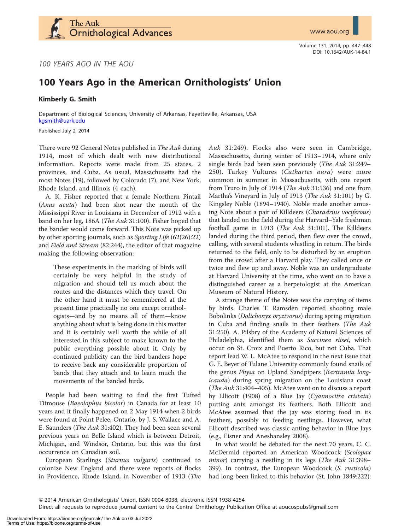

Volume 131, 2014, pp. 447–448 DOI: 10.1642/AUK-14-84.1

100 YEARS AGO IN THE AOU

## 100 Years Ago in the American Ornithologists' Union

Kimberly G. Smith

Department of Biological Sciences, University of Arkansas, Fayetteville, Arkansas, USA [kgsmith@uark.edu](mailto:kgsmith@uark.edu)

Published July 2, 2014

There were 92 General Notes published in The Auk during 1914, most of which dealt with new distributional information. Reports were made from 25 states, 2 provinces, and Cuba. As usual, Massachusetts had the most Notes (19), followed by Colorado (7), and New York, Rhode Island, and Illinois (4 each).

A. K. Fisher reported that a female Northern Pintail (Anas acuta) had been shot near the mouth of the Mississippi River in Louisiana in December of 1912 with a band on her leg, 186A (The Auk 31:100). Fisher hoped that the bander would come forward. This Note was picked up by other sporting journals, such as Sporting Life (62(26):22) and Field and Stream (82:244), the editor of that magazine making the following observation:

These experiments in the marking of birds will certainly be very helpful in the study of migration and should tell us much about the routes and the distances which they travel. On the other hand it must be remembered at the present time practically no one except ornithologists—and by no means all of them—know anything about what is being done in this matter and it is certainly well worth the while of all interested in this subject to make known to the public everything possible about it. Only by continued publicity can the bird banders hope to receive back any considerable proportion of bands that they attach and to learn much the movements of the banded birds.

People had been waiting to find the first Tufted Titmouse (Baeolophus bicolor) in Canada for at least 10 years and it finally happened on 2 May 1914 when 2 birds were found at Point Pelee, Ontario, by J. S. Wallace and A. E. Saunders (The Auk 31:402). They had been seen several previous years on Belle Island which is between Detroit, Michigan, and Windsor, Ontario, but this was the first occurrence on Canadian soil.

European Starlings (Sturnus vulgaris) continued to colonize New England and there were reports of flocks in Providence, Rhode Island, in November of 1913 (The Auk 31:249). Flocks also were seen in Cambridge, Massachusetts, during winter of 1913–1914, where only single birds had been seen previously (The Auk 31:249– 250). Turkey Vultures (Cathartes aura) were more common in summer in Massachusetts, with one report from Truro in July of 1914 (*The Auk* 31:536) and one from Martha's Vineyard in July of 1913 (The Auk 31:101) by G. Kingsley Noble (1894–1940). Noble made another amusing Note about a pair of Killdeers (Charadrius vociferous) that landed on the field during the Harvard–Yale freshman football game in 1913 (The Auk 31:101). The Killdeers landed during the third period, then flew over the crowd, calling, with several students whistling in return. The birds returned to the field, only to be disturbed by an eruption from the crowd after a Harvard play. They called once or twice and flew up and away. Noble was an undergraduate at Harvard University at the time, who went on to have a distinguished career as a herpetologist at the American Museum of Natural History.

A strange theme of the Notes was the carrying of items by birds. Charles T. Ramsden reported shooting male Bobolinks (Dolichonyx oryzivorus) during spring migration in Cuba and finding snails in their feathers (The Auk 31:250). A. Pilsbry of the Academy of Natural Sciences of Philadelphia, identified them as Succinea riisei, which occur on St. Croix and Puerto Rico, but not Cuba. That report lead W. L. McAtee to respond in the next issue that G. E. Beyer of Tulane University commonly found snails of the genus Physa on Upland Sandpipers (Bartramia longicauda) during spring migration on the Louisiana coast (The Auk 31:404–405). McAtee went on to discuss a report by Ellicott (1908) of a Blue Jay (Cyannocitta cristata) putting ants amongst its feathers. Both Ellicott and McAtee assumed that the jay was storing food in its feathers, possibly to feeding nestlings. However, what Ellicott described was classic anting behavior in Blue Jays (e.g., Eisner and Aneshansley 2008).

In what would be debated for the next 70 years, C. C. McDermid reported an American Woodcock (Scolopax minor) carrying a nestling in its legs (The Auk 31:398-399). In contrast, the European Woodcock (S. rusticola) had long been linked to this behavior (St. John 1849:222):

Q 2014 American Ornithologists' Union. ISSN 0004-8038, electronic ISSN 1938-4254

Direct all requests to reproduce journal content to the Central Ornithology Publication Office at aoucospubs@gmail.com